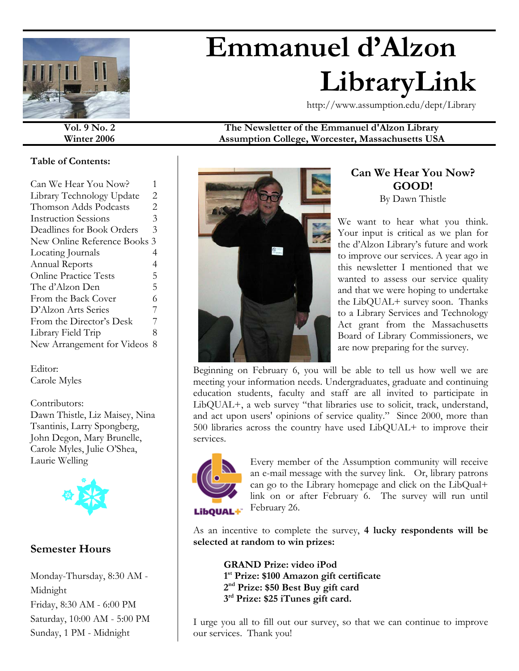

# **Emmanuel d'Alzon LibraryLink**

http://www.assumption.edu/dept/Library

#### **Vol. 9 No. 2 The Newsletter of the Emmanuel d'Alzon Library Winter 2006 Assumption College, Worcester, Massachusetts USA**

#### **Table of Contents:**

| Can We Hear You Now?         | 1 |  |
|------------------------------|---|--|
| Library Technology Update    | 2 |  |
| Thomson Adds Podcasts        | 2 |  |
| <b>Instruction Sessions</b>  | 3 |  |
| Deadlines for Book Orders    | 3 |  |
| New Online Reference Books 3 |   |  |
| Locating Journals            | 4 |  |
| Annual Reports               | 4 |  |
| <b>Online Practice Tests</b> | 5 |  |
| The d'Alzon Den              | 5 |  |
| From the Back Cover          | 6 |  |
| D'Alzon Arts Series          | 7 |  |
| From the Director's Desk     | 7 |  |
| Library Field Trip           | 8 |  |
| New Arrangement for Videos   | 8 |  |
|                              |   |  |

Editor: Carole Myles

Contributors: Dawn Thistle, Liz Maisey, Nina Tsantinis, Larry Spongberg, John Degon, Mary Brunelle, Carole Myles, Julie O'Shea, Laurie Welling



## **Semester Hours**

Monday-Thursday, 8:30 AM - Midnight Friday, 8:30 AM - 6:00 PM Saturday, 10:00 AM - 5:00 PM Sunday, 1 PM - Midnight



#### **Can We Hear You Now? GOOD!**  By Dawn Thistle

We want to hear what you think. Your input is critical as we plan for the d'Alzon Library's future and work to improve our services. A year ago in this newsletter I mentioned that we wanted to assess our service quality and that we were hoping to undertake the LibQUAL+ survey soon. Thanks to a Library Services and Technology Act grant from the Massachusetts Board of Library Commissioners, we are now preparing for the survey.

Beginning on February 6, you will be able to tell us how well we are meeting your information needs. Undergraduates, graduate and continuing education students, faculty and staff are all invited to participate in LibQUAL+, a web survey "that libraries use to solicit, track, understand, and act upon users' opinions of service quality." Since 2000, more than 500 libraries across the country have used LibQUAL+ to improve their services.



Every member of the Assumption community will receive an e-mail message with the survey link. Or, library patrons can go to the Library homepage and click on the LibQual+ link on or after February 6. The survey will run until February 26.

As an incentive to complete the survey, **4 lucky respondents will be selected at random to win prizes:** 

**GRAND Prize: video iPod 1 st Prize: \$100 Amazon gift certificate 2nd Prize: \$50 Best Buy gift card 3rd Prize: \$25 iTunes gift card.**

I urge you all to fill out our survey, so that we can continue to improve our services. Thank you!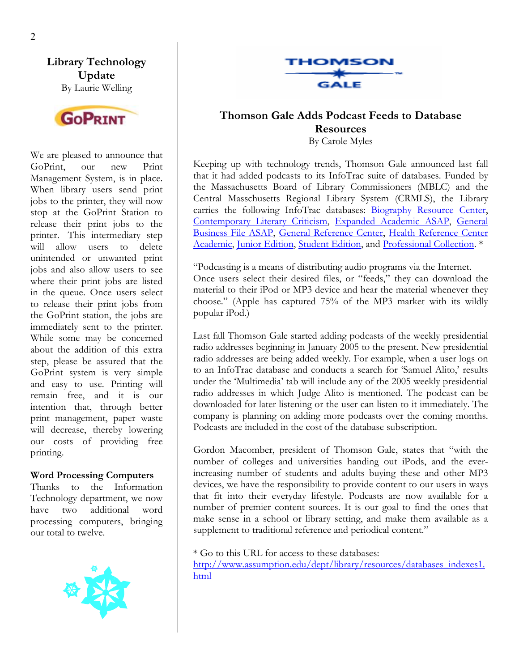**Library Technology Update**  By Laurie Welling



We are pleased to announce that GoPrint, our new Print Management System, is in place. When library users send print jobs to the printer, they will now stop at the GoPrint Station to release their print jobs to the printer. This intermediary step will allow users to delete unintended or unwanted print jobs and also allow users to see where their print jobs are listed in the queue. Once users select to release their print jobs from the GoPrint station, the jobs are immediately sent to the printer. While some may be concerned about the addition of this extra step, please be assured that the GoPrint system is very simple and easy to use. Printing will remain free, and it is our intention that, through better print management, paper waste will decrease, thereby lowering our costs of providing free printing.

#### **Word Processing Computers**

Thanks to the Information Technology department, we now have two additional word processing computers, bringing our total to twelve.





#### **Thomson Gale Adds Podcast Feeds to Database Resources**  By Carole Myles

Keeping up with technology trends, Thomson Gale announced last fall that it had added podcasts to its InfoTrac suite of databases. Funded by the Massachusetts Board of Library Commissioners (MBLC) and the Central Masschusetts Regional Library System (CRMLS), the Library carries the following InfoTrac databases: [Biography Resource Center](http://library.assumption.edu:2048/login?url=http://infotrac.galegroup.com/itweb/mlin_c_assumpt?db=BioRC-3), [Contemporary Literary Criticism](http://library.assumption.edu:2048/login?url=http://infotrac.galegroup.com/itweb/mlin_c_assumpt?db=clc), [Expanded Academic ASAP](http://library.assumption.edu:2048/login?url=http://infotrac.galegroup.com/itweb/mlin_c_assumpt?db=eaim), [General](http://library.assumption.edu:2048/login?url=http://infotrac.galegroup.com/itweb/mlin_C_assumpt?db=GBFM) [Business File ASAP](http://library.assumption.edu:2048/login?url=http://infotrac.galegroup.com/itweb/mlin_C_assumpt?db=GBFM), [General Reference Center,](http://library.assumption.edu:2048/login?url=http://infotrac.galegroup.com/itweb/mlin_C_assumpt?db=GBFM) [Health Reference Center](http://library.assumption.edu:2048/login?url=http://infotrac.galegroup.com/itweb/mlin_c_assumpt?db=GRGM) [Academic,](http://library.assumption.edu:2048/login?url=http://infotrac.galegroup.com/itweb/mlin_c_assumpt?db=GRGM) [Junior Edition,](http://library.assumption.edu:2048/login?url=http://web1.infotrac.galegroup.com/k12/infomark/1/1/1/purl=rc6_K12J) [Student Edition](http://library.assumption.edu:2048/login?url=http://web1.infotrac.galegroup.com/itw/infomark/1/1/1/purl=rc6_STO), and [Professional Collection.](http://library.assumption.edu:2048/login?url=http://web2.infotrac.galegroup.com/itw/infomark/1/1/1/purl=rc6_SP00) \*

"Podcasting is a means of distributing audio programs via the Internet. Once users select their desired files, or "feeds," they can download the material to their iPod or MP3 device and hear the material whenever they choose." (Apple has captured 75% of the MP3 market with its wildly popular iPod.)

Last fall Thomson Gale started adding podcasts of the weekly presidential radio addresses beginning in January 2005 to the present. New presidential radio addresses are being added weekly. For example, when a user logs on to an InfoTrac database and conducts a search for 'Samuel Alito,' results under the 'Multimedia' tab will include any of the 2005 weekly presidential radio addresses in which Judge Alito is mentioned. The podcast can be downloaded for later listening or the user can listen to it immediately. The company is planning on adding more podcasts over the coming months. Podcasts are included in the cost of the database subscription.

Gordon Macomber, president of Thomson Gale, states that "with the number of colleges and universities handing out iPods, and the everincreasing number of students and adults buying these and other MP3 devices, we have the responsibility to provide content to our users in ways that fit into their everyday lifestyle. Podcasts are now available for a number of premier content sources. It is our goal to find the ones that make sense in a school or library setting, and make them available as a supplement to traditional reference and periodical content."

\* Go to this URL for access to these databases:

[http://www.assumption.edu/dept/library/resources/databases\\_indexes1.](http://www.assumption.edu/dept/library/resources/databases_indexes1.html) [html](http://www.assumption.edu/dept/library/resources/databases_indexes1.html)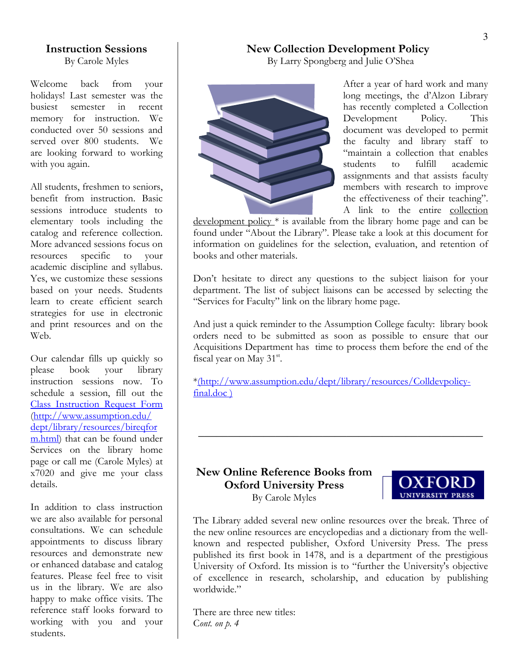## **Instruction Sessions**

By Carole Myles

Welcome back from your holidays! Last semester was the busiest semester in recent memory for instruction. We conducted over 50 sessions and served over 800 students. We are looking forward to working with you again.

All students, freshmen to seniors, benefit from instruction. Basic sessions introduce students to elementary tools including the catalog and reference collection. More advanced sessions focus on resources specific to your academic discipline and syllabus. Yes, we customize these sessions based on your needs. Students learn to create efficient search strategies for use in electronic and print resources and on the Web.

Our calendar fills up quickly so please book your library instruction sessions now. To schedule a session, fill out the [Class Instruction Request Form](http://www.assumption.edu/dept/Library/resources/bireqform.html) [\(http://www.assumption.edu/](http://www.assumption.edu/  dept/library/resources/bireqform.html)  [dept/library/resources/bireqfor](http://www.assumption.edu/  dept/library/resources/bireqform.html) [m.html](http://www.assumption.edu/  dept/library/resources/bireqform.html)) that can be found under Services on the library home page or call me (Carole Myles) at x7020 and give me your class details.

In addition to class instruction we are also available for personal consultations. We can schedule appointments to discuss library resources and demonstrate new or enhanced database and catalog features. Please feel free to visit us in the library. We are also happy to make office visits. The reference staff looks forward to working with you and your students.

#### **New Collection Development Policy**

By Larry Spongberg and Julie O'Shea



After a year of hard work and many long meetings, the d'Alzon Library has recently completed a Collection Development Policy. This document was developed to permit the faculty and library staff to "maintain a collection that enables students to fulfill academic assignments and that assists faculty members with research to improve the effectiveness of their teaching". A link to the entire collection

development policy \* is available from the library home page and can be found under "About the Library". Please take a look at this document for information on guidelines for the selection, evaluation, and retention of books and other materials.

Don't hesitate to direct any questions to the subject liaison for your department. The list of subject liaisons can be accessed by selecting the "Services for Faculty" link on the library home page.

And just a quick reminder to the Assumption College faculty: library book orders need to be submitted as soon as possible to ensure that our Acquisitions Department has time to process them before the end of the fiscal year on May 31<sup>st</sup>.

**\_\_\_\_\_\_\_\_\_\_\_\_\_\_\_\_\_\_\_\_\_\_\_\_\_\_\_\_\_\_\_\_\_\_\_\_\_\_\_\_\_\_\_\_\_\_\_\_** 

\*(http://www.assumption.edu/dept/library/resources/Colldevpolicyfinal.doc )

#### **New Online Reference Books from Oxford University Press**  By Carole Myles



The Library added several new online resources over the break. Three of the new online resources are encyclopedias and a dictionary from the wellknown and respected publisher, Oxford University Press. The press published its first book in 1478, and is a department of the prestigious University of Oxford. Its mission is to "further the University's objective of excellence in research, scholarship, and education by publishing worldwide."

There are three new titles: C*ont. on p. 4*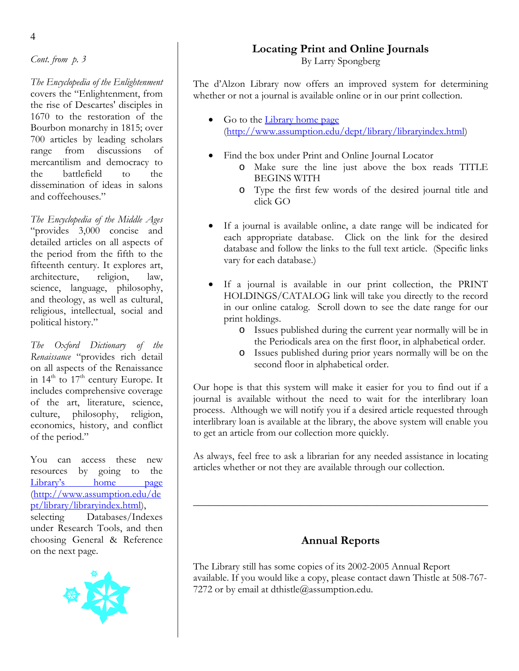*Cont. from p. 3* 

*The Encyclopedia of the Enlightenment* covers the "Enlightenment, from the rise of Descartes' disciples in 1670 to the restoration of the Bourbon monarchy in 1815; over 700 articles by leading scholars range from discussions of mercantilism and democracy to the battlefield to the dissemination of ideas in salons and coffeehouses."

*The Encyclopedia of the Middle Ages*  "provides 3,000 concise and detailed articles on all aspects of the period from the fifth to the fifteenth century. It explores art, architecture, religion, law, science, language, philosophy, and theology, as well as cultural, religious, intellectual, social and political history."

*The Oxford Dictionary of the Renaissance* "provides rich detail on all aspects of the Renaissance in  $14<sup>th</sup>$  to  $17<sup>th</sup>$  century Europe. It includes comprehensive coverage of the art, literature, science, culture, philosophy, religion, economics, history, and conflict of the period."

You can access these new resources by going to the [Library's home page](http://www.assumption.edu/dept/library/libraryindex.html) [\(http://www.assumption.edu/de](http://www.assumption.edu/dept/library/libraryindex.html) [pt/library/libraryindex.html](http://www.assumption.edu/dept/library/libraryindex.html)), selecting Databases/Indexes under Research Tools, and then choosing General & Reference on the next page.



## **Locating Print and Online Journals**

By Larry Spongberg

The d'Alzon Library now offers an improved system for determining whether or not a journal is available online or in our print collection.

- Go to the [Library home page](http://www.assumption.edu/dept/library/libraryindex.html) [\(http://www.assumption.edu/dept/library/libraryindex.html](http://www.assumption.edu/dept/library/libraryindex.html))
- Find the box under Print and Online Journal Locator
	- o Make sure the line just above the box reads TITLE BEGINS WITH
	- o Type the first few words of the desired journal title and click GO
- If a journal is available online, a date range will be indicated for each appropriate database. Click on the link for the desired database and follow the links to the full text article. (Specific links vary for each database.)
- If a journal is available in our print collection, the PRINT HOLDINGS/CATALOG link will take you directly to the record in our online catalog. Scroll down to see the date range for our print holdings.
	- o Issues published during the current year normally will be in the Periodicals area on the first floor, in alphabetical order.
	- o Issues published during prior years normally will be on the second floor in alphabetical order.

Our hope is that this system will make it easier for you to find out if a journal is available without the need to wait for the interlibrary loan process. Although we will notify you if a desired article requested through interlibrary loan is available at the library, the above system will enable you to get an article from our collection more quickly.

As always, feel free to ask a librarian for any needed assistance in locating articles whether or not they are available through our collection.

#### **Annual Reports**

\_\_\_\_\_\_\_\_\_\_\_\_\_\_\_\_\_\_\_\_\_\_\_\_\_\_\_\_\_\_\_\_\_\_\_\_\_\_\_\_\_\_\_\_\_\_\_\_\_\_\_\_\_\_\_\_\_\_

The Library still has some copies of its 2002-2005 Annual Report available. If you would like a copy, please contact dawn Thistle at 508-767- 7272 or by email at dthistle@assumption.edu.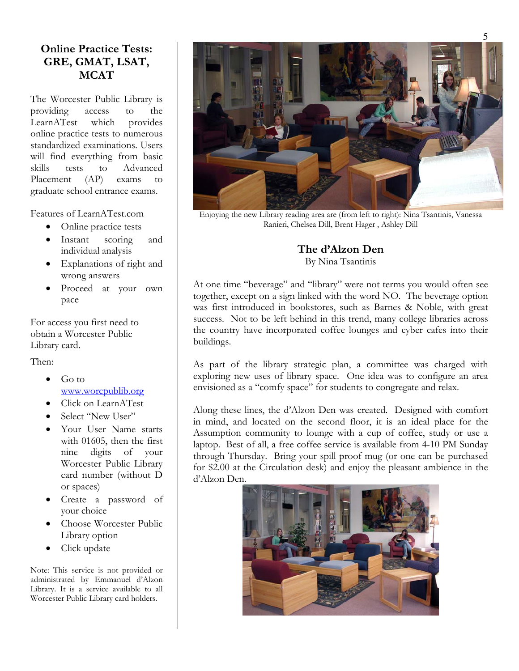### **Online Practice Tests: GRE, GMAT, LSAT, MCAT**

The Worcester Public Library is providing access to the LearnATest which provides online practice tests to numerous standardized examinations. Users will find everything from basic skills tests to Advanced Placement (AP) exams to graduate school entrance exams.

Features of LearnATest.com

- Online practice tests
- Instant scoring and individual analysis
- Explanations of right and wrong answers
- Proceed at your own pace

For access you first need to obtain a Worcester Public Library card.

Then:

- Go to [www.worcpublib.org](http://www.worcpublib.org/)
- Click on LearnATest
- Select "New User"
- Your User Name starts with 01605, then the first nine digits of your Worcester Public Library card number (without D or spaces)
- Create a password of your choice
- Choose Worcester Public Library option
- Click update

Note: This service is not provided or administrated by Emmanuel d'Alzon Library. It is a service available to all Worcester Public Library card holders.



Enjoying the new Library reading area are (from left to right): Nina Tsantinis, Vanessa Ranieri, Chelsea Dill, Brent Hager , Ashley Dill

## **The d'Alzon Den**

By Nina Tsantinis

At one time "beverage" and "library" were not terms you would often see together, except on a sign linked with the word NO. The beverage option was first introduced in bookstores, such as Barnes & Noble, with great success. Not to be left behind in this trend, many college libraries across the country have incorporated coffee lounges and cyber cafes into their buildings.

As part of the library strategic plan, a committee was charged with exploring new uses of library space. One idea was to configure an area envisioned as a "comfy space" for students to congregate and relax.

Along these lines, the d'Alzon Den was created. Designed with comfort in mind, and located on the second floor, it is an ideal place for the Assumption community to lounge with a cup of coffee, study or use a laptop. Best of all, a free coffee service is available from 4-10 PM Sunday through Thursday. Bring your spill proof mug (or one can be purchased for \$2.00 at the Circulation desk) and enjoy the pleasant ambience in the d'Alzon Den.

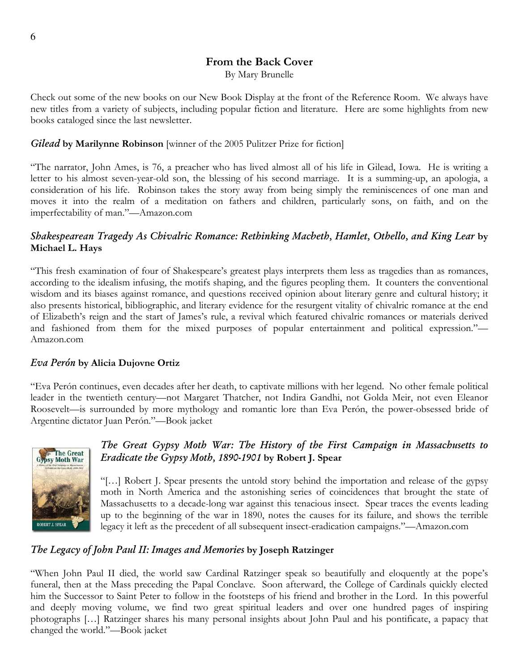#### **From the Back Cover**

By Mary Brunelle

Check out some of the new books on our New Book Display at the front of the Reference Room. We always have new titles from a variety of subjects, including popular fiction and literature. Here are some highlights from new books cataloged since the last newsletter.

#### *Gilead* **by Marilynne Robinson** [winner of the 2005 Pulitzer Prize for fiction]

"The narrator, John Ames, is 76, a preacher who has lived almost all of his life in Gilead, Iowa. He is writing a letter to his almost seven-year-old son, the blessing of his second marriage. It is a summing-up, an apologia, a consideration of his life. Robinson takes the story away from being simply the reminiscences of one man and moves it into the realm of a meditation on fathers and children, particularly sons, on faith, and on the imperfectability of man."—Amazon.com

#### *Shakespearean Tragedy As Chivalric Romance: Rethinking Macbeth, Hamlet, Othello, and King Lear* **by Michael L. Hays**

"This fresh examination of four of Shakespeare's greatest plays interprets them less as tragedies than as romances, according to the idealism infusing, the motifs shaping, and the figures peopling them. It counters the conventional wisdom and its biases against romance, and questions received opinion about literary genre and cultural history; it also presents historical, bibliographic, and literary evidence for the resurgent vitality of chivalric romance at the end of Elizabeth's reign and the start of James's rule, a revival which featured chivalric romances or materials derived and fashioned from them for the mixed purposes of popular entertainment and political expression."— Amazon.com

#### *Eva Perón* **by Alicia Dujovne Ortiz**

"Eva Perón continues, even decades after her death, to captivate millions with her legend. No other female political leader in the twentieth century—not Margaret Thatcher, not Indira Gandhi, not Golda Meir, not even Eleanor Roosevelt—is surrounded by more mythology and romantic lore than Eva Perón, the power-obsessed bride of Argentine dictator Juan Perón."—Book jacket



#### *The Great Gypsy Moth War: The History of the First Campaign in Massachusetts to Eradicate the Gypsy Moth, 1890-1901* **by Robert J. Spear**

"[…] Robert J. Spear presents the untold story behind the importation and release of the gypsy moth in North America and the astonishing series of coincidences that brought the state of Massachusetts to a decade-long war against this tenacious insect. Spear traces the events leading up to the beginning of the war in 1890, notes the causes for its failure, and shows the terrible legacy it left as the precedent of all subsequent insect-eradication campaigns."—Amazon.com

#### *The Legacy of John Paul II: Images and Memories* **by Joseph Ratzinger**

"When John Paul II died, the world saw Cardinal Ratzinger speak so beautifully and eloquently at the pope's funeral, then at the Mass preceding the Papal Conclave. Soon afterward, the College of Cardinals quickly elected him the Successor to Saint Peter to follow in the footsteps of his friend and brother in the Lord. In this powerful and deeply moving volume, we find two great spiritual leaders and over one hundred pages of inspiring photographs […] Ratzinger shares his many personal insights about John Paul and his pontificate, a papacy that changed the world."—Book jacket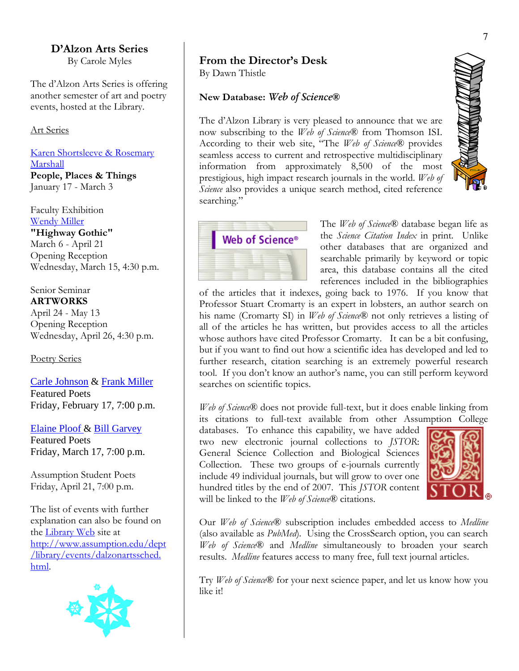#### **D'Alzon Arts Series**

By Carole Myles

The d'Alzon Arts Series is offering another semester of art and poetry events, hosted at the Library.

#### Art Series

Karen Shortsleeve & Rosemary Marshall **People, Places & Things**  January 17 - March 3

Faculty Exhibition Wendy Miller **"Highway Gothic"**  March 6 - April 21 Opening Reception Wednesday, March 15, 4:30 p.m.

Senior Seminar **ARTWORKS** April 24 - May 13 Opening Reception Wednesday, April 26, 4:30 p.m.

Poetry Series

Carle Johnson & Frank Miller Featured Poets Friday, February 17, 7:00 p.m.

Elaine Ploof & Bill Garvey

Featured Poets Friday, March 17, 7:00 p.m.

Assumption Student Poets Friday, April 21, 7:00 p.m.

The list of events with further explanation can also be found on the [Library Web](http://www.assumption.edu/dept/library/events/dalzonartssched.html) site at [http://www.assumption.edu/dept](http://www.assumption.edu/dept/library/events/dalzonartssched. html) [/library/events/dalzonartssched.](http://www.assumption.edu/dept/library/events/dalzonartssched. html)  [html.](http://www.assumption.edu/dept/library/events/dalzonartssched. html)



#### **From the Director's Desk**

By Dawn Thistle

#### **New Database:** *Web of Science***®**

The d'Alzon Library is very pleased to announce that we are now subscribing to the *Web of Science*® from Thomson ISI. According to their web site, "The *Web of Science*® provides seamless access to current and retrospective multidisciplinary information from approximately 8,500 of the most prestigious, high impact research journals in the world. *Web of Science* also provides a unique search method, cited reference searching."



The *Web of Science*® database began life as the *Science Citation Index* in print*.* Unlike other databases that are organized and searchable primarily by keyword or topic area, this database contains all the cited references included in the bibliographies

of the articles that it indexes, going back to 1976. If you know that Professor Stuart Cromarty is an expert in lobsters, an author search on his name (Cromarty SI) in *Web of Science*® not only retrieves a listing of all of the articles he has written, but provides access to all the articles whose authors have cited Professor Cromarty. It can be a bit confusing, but if you want to find out how a scientific idea has developed and led to further research, citation searching is an extremely powerful research tool. If you don't know an author's name, you can still perform keyword searches on scientific topics.

*Web of Science*® does not provide full-text, but it does enable linking from its citations to full-text available from other Assumption College

databases. To enhance this capability, we have added two new electronic journal collections to *JSTOR*: General Science Collection and Biological Sciences Collection. These two groups of e-journals currently include 49 individual journals, but will grow to over one hundred titles by the end of 2007. This *JSTOR* content will be linked to the *Web of Science*® citations.



Our *Web of Science*® subscription includes embedded access to *Medline*  (also available as *PubMed*)*.* Using the CrossSearch option, you can search *Web of Science*® and *Medline* simultaneously to broaden your search results. *Medline* features access to many free, full text journal articles.

Try *Web of Science*® for your next science paper, and let us know how you like it!